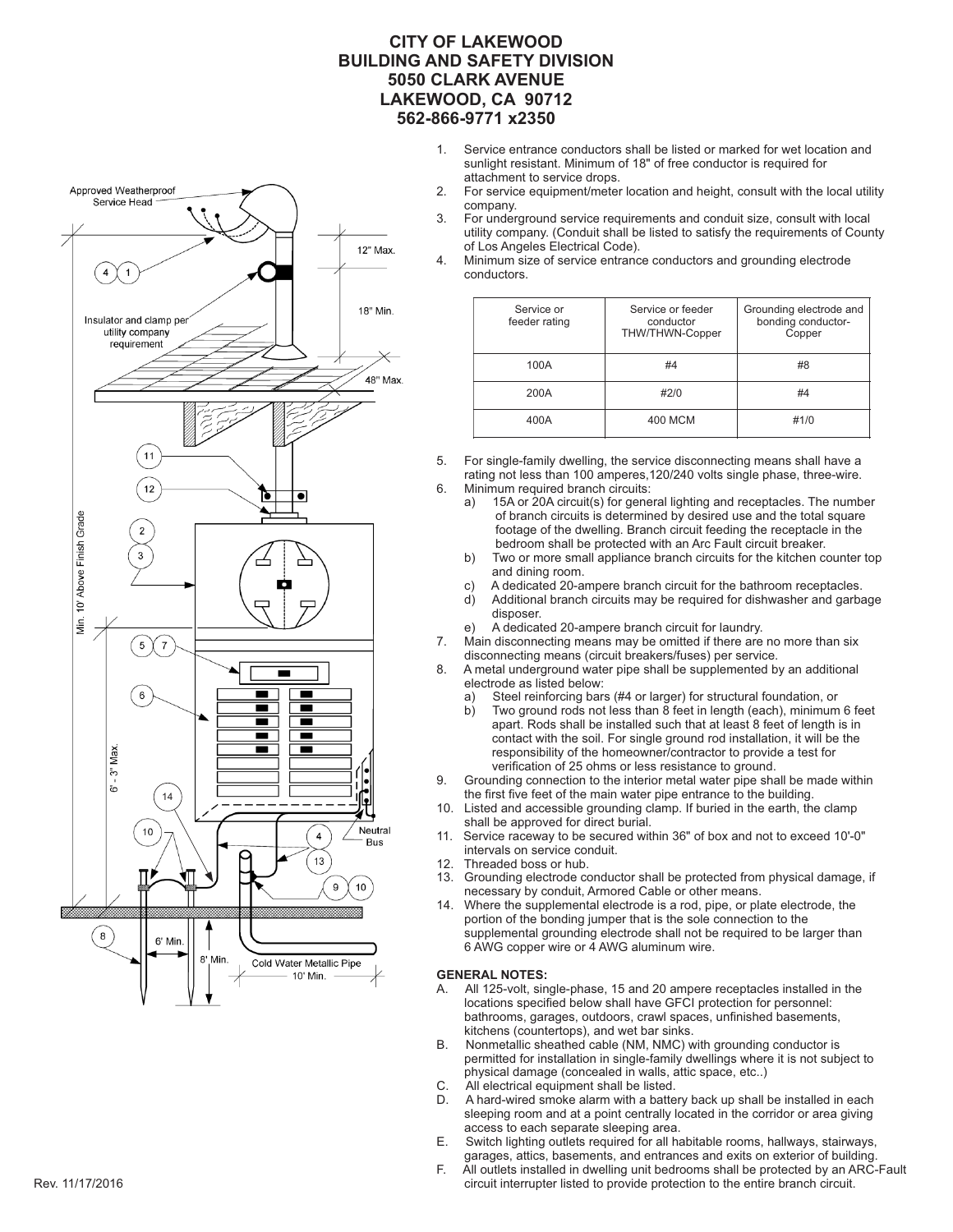#### **CITY OF LAKEWOOD BUILDING AND SAFETY DIVISION 5050 CLARK AVENUE LAKEWOOD, CA 90712 562-866-9771 x2350**

- 1. Service entrance conductors shall be listed or marked for wet location and sunlight resistant. Minimum of 18" of free conductor is required for attachment to service drops.<br>2 For service equipment/meter
- For service equipment/meter location and height, consult with the local utility company.<br>3 For under
- 3. For underground service requirements and conduit size, consult with local utility company. (Conduit shall be listed to satisfy the requirements of County of Los Angeles Electrical Code).<br>4. Minimum size of service entrance
- Minimum size of service entrance conductors and grounding electrode conductors.

| Service or<br>feeder rating | Service or feeder<br>conductor<br><b>THW/THWN-Copper</b> | Grounding electrode and<br>bonding conductor-<br>Copper |
|-----------------------------|----------------------------------------------------------|---------------------------------------------------------|
| 100A                        | #4                                                       | #8                                                      |
| 200A                        | #2/0                                                     | #4                                                      |
| 400A                        | 400 MCM                                                  | #1/0                                                    |

5. For single-family dwelling, the service disconnecting means shall have a rating not less than 100 amperes, 120/240 volts single phase, three-wire.<br>6. Minimum required branch circuits: Minimum required branch circuits:<br>a) 15A or 20A circuit(s) for gene

- 15A or 20A circuit(s) for general lighting and receptacles. The number of branch circuits is determined by desired use and the total square footage of the dwelling. Branch circuit feeding the receptacle in the bedroom shall be protected with an Arc Fault circuit breaker.<br>b) Two or more small appliance branch circuits for the kitchen co
- Two or more small appliance branch circuits for the kitchen counter top and dining room.
- c) A dedicated 20-ampere branch circuit for the bathroom receptacles.<br>d) Additional branch circuits may be required for dishwasher and garba
- Additional branch circuits may be required for dishwasher and garbage disposer.
- e) A dedicated 20-ampere branch circuit for laundry.
- Main disconnecting means may be omitted if there are no more than six disconnecting means (circuit breakers/fuses) per service.
- A metal underground water pipe shall be supplemented by an additional electrode as listed below:
	- a) Steel reinforcing bars (#4 or larger) for structural foundation, or b) Two ground rods not less than 8 feet in length (each), minimum
- Two ground rods not less than 8 feet in length (each), minimum 6 feet apart. Rods shall be installed such that at least 8 feet of length is in contact with the soil. For single ground rod installation, it will be the responsibility of the homeowner/contractor to provide a test for verification of 25 ohms or less resistance to ground.<br>9. Grounding connection to the interior metal water pipe shall
- Grounding connection to the interior metal water pipe shall be made within the first five feet of the main water pipe entrance to the building.<br>10 I isted and accessible grounding clamp. If buried in the earth the
- Listed and accessible grounding clamp. If buried in the earth, the clamp shall be approved for direct burial.<br>11 Service raceway to be secured with
- Service raceway to be secured within 36" of box and not to exceed 10'-0" intervals on service conduit.<br>12. Threaded boss or hub.
- Threaded boss or hub.
- 13. Grounding electrode conductor shall be protected from physical damage, if necessary by conduit, Armored Cable or other means.<br>14. Where the supplemental electrode is a rod, pipe, or pla
- Where the supplemental electrode is a rod, pipe, or plate electrode, the portion of the bonding jumper that is the sole connection to the supplemental grounding electrode shall not be required to be larger than 6 AWG copper wire or 4 AWG aluminum wire.

#### **GENERAL NOTES:**

- A. All 125-volt, single-phase, 15 and 20 ampere receptacles installed in the locations specified below shall have GFCI protection for personnel: bathrooms, garages, outdoors, crawl spaces, unfinished basements, kitchens (countertops), and wet bar sinks.<br>B. Nonmetallic sheathed cable (NM, NMC) w
- Nonmetallic sheathed cable (NM, NMC) with grounding conductor is permitted for installation in single-family dwellings where it is not subject to physical damage (concealed in walls, attic space, etc..)<br>C. All electrical equipment shall be listed.
- C. All electrical equipment shall be listed.<br>D. A hard-wired smoke alarm with a batte
- A hard-wired smoke alarm with a battery back up shall be installed in each sleeping room and at a point centrally located in the corridor or area giving access to each separate sleeping area.<br>E. Switch lighting outlets required for all ha
- Switch lighting outlets required for all habitable rooms, hallways, stairways, garages, attics, basements, and entrances and exits on exterior of building.<br>F. All outlets installed in dwelling unit bedrooms shall be protected by an ARC-
- All outlets installed in dwelling unit bedrooms shall be protected by an ARC-Fault Rev. 11/17/2016 circuit interrupter listed to provide protection to the entire branch circuit.



Approved Weatherproof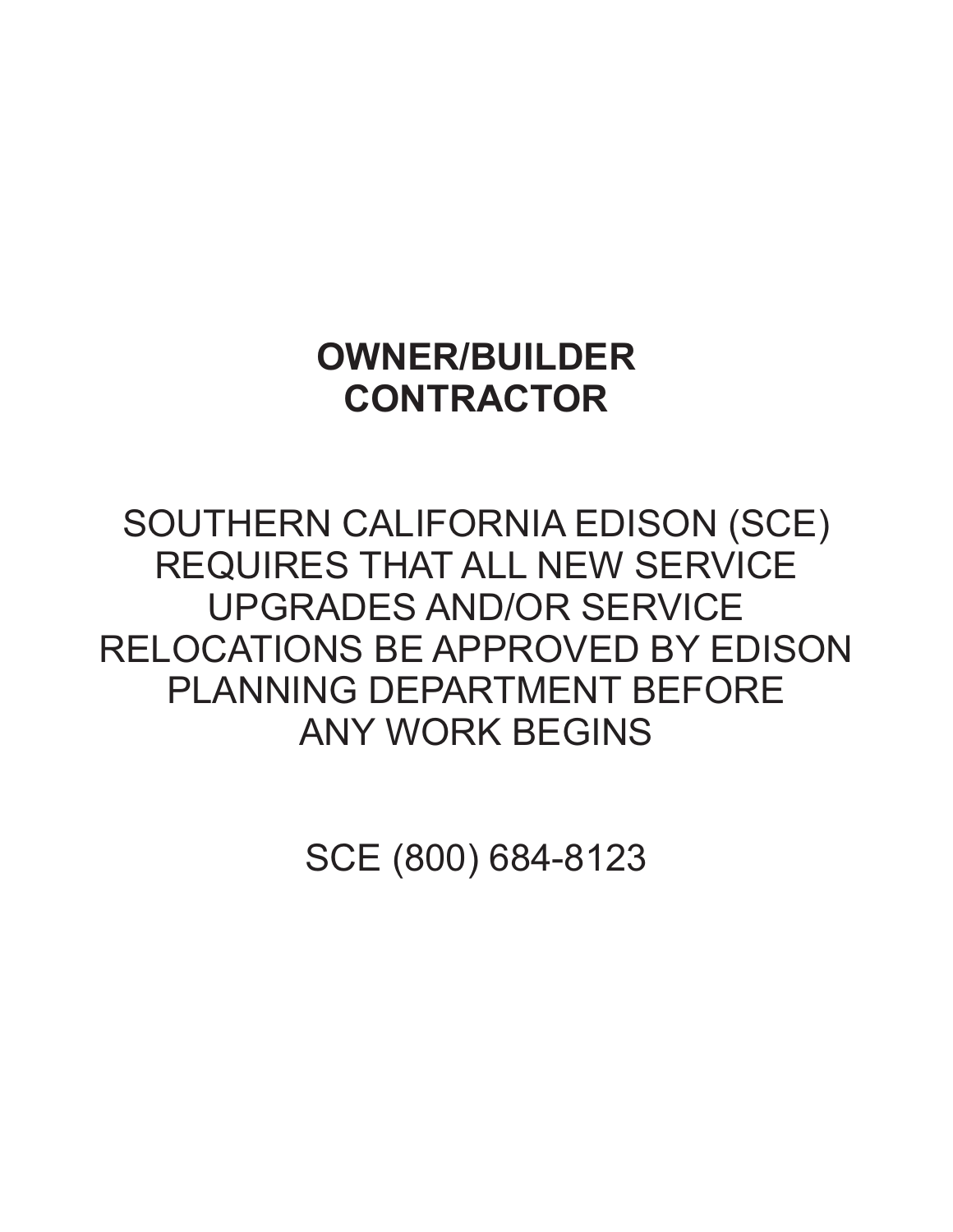## **OWNER/BUILDER CONTRACTOR**

## SOUTHERN CALIFORNIA EDISON (SCE) REQUIRES THAT ALL NEW SERVICE UPGRADES AND/OR SERVICE RELOCATIONS BE APPROVED BY EDISON PLANNING DEPARTMENT BEFORE ANY WORK BEGINS

SCE (800) 684-8123